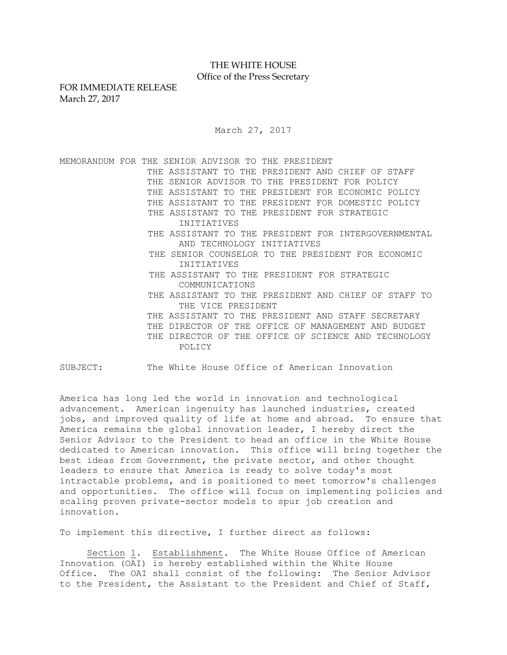## THE WHITE HOUSE Office of the Press Secretary

FOR IMMEDIATE RELEASE March 27, 2017

March 27, 2017

MEMORANDUM FOR THE SENIOR ADVISOR TO THE PRESIDENT THE ASSISTANT TO THE PRESIDENT AND CHIEF OF STAFF THE SENIOR ADVISOR TO THE PRESIDENT FOR POLICY THE ASSISTANT TO THE PRESIDENT FOR ECONOMIC POLICY THE ASSISTANT TO THE PRESIDENT FOR DOMESTIC POLICY THE ASSISTANT TO THE PRESIDENT FOR STRATEGIC INITIATIVES THE ASSISTANT TO THE PRESIDENT FOR INTERGOVERNMENTAL AND TECHNOLOGY INITIATIVES THE SENIOR COUNSELOR TO THE PRESIDENT FOR ECONOMIC INITIATIVES THE ASSISTANT TO THE PRESIDENT FOR STRATEGIC COMMUNICATIONS THE ASSISTANT TO THE PRESIDENT AND CHIEF OF STAFF TO THE VICE PRESIDENT THE ASSISTANT TO THE PRESIDENT AND STAFF SECRETARY THE DIRECTOR OF THE OFFICE OF MANAGEMENT AND BUDGET THE DIRECTOR OF THE OFFICE OF SCIENCE AND TECHNOLOGY POLICY

SUBJECT: The White House Office of American Innovation

America has long led the world in innovation and technological advancement. American ingenuity has launched industries, created jobs, and improved quality of life at home and abroad. To ensure that America remains the global innovation leader, I hereby direct the Senior Advisor to the President to head an office in the White House dedicated to American innovation. This office will bring together the best ideas from Government, the private sector, and other thought leaders to ensure that America is ready to solve today's most intractable problems, and is positioned to meet tomorrow's challenges and opportunities. The office will focus on implementing policies and scaling proven private-sector models to spur job creation and innovation.

To implement this directive, I further direct as follows:

 Section 1. Establishment. The White House Office of American Innovation (OAI) is hereby established within the White House Office. The OAI shall consist of the following: The Senior Advisor to the President, the Assistant to the President and Chief of Staff,